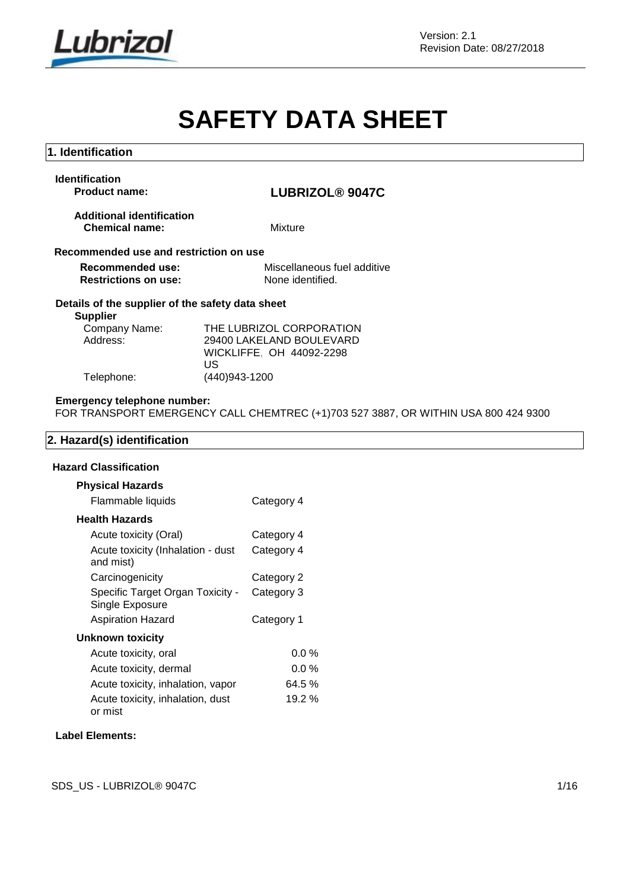

# **SAFETY DATA SHEET**

# **1. Identification**

| <b>Identification</b> |  |  |
|-----------------------|--|--|
| <b>Product name:</b>  |  |  |

# **Product name: LUBRIZOL® 9047C**

| <b>Additional identification</b> |  |
|----------------------------------|--|
| <b>Chemical name:</b>            |  |

**Chemical name:** Mixture

# **Recommended use and restriction on use**

| <b>Recommended use:</b>     | Miscellaneous fuel additive |
|-----------------------------|-----------------------------|
| <b>Restrictions on use:</b> | None identified.            |

# **Details of the supplier of the safety data sheet**

# **Supplier**

| Company Name: | THE LUBRIZOL CORPORATION |  |  |
|---------------|--------------------------|--|--|
| Address:      | 29400 LAKELAND BOULEVARD |  |  |
|               | WICKLIFFE. OH 44092-2298 |  |  |
|               | US.                      |  |  |
| Telephone:    | (440)943-1200            |  |  |

# **Emergency telephone number:**

FOR TRANSPORT EMERGENCY CALL CHEMTREC (+1)703 527 3887, OR WITHIN USA 800 424 9300

# **2. Hazard(s) identification**

### **Hazard Classification**

| <b>Physical Hazards</b>                             |            |
|-----------------------------------------------------|------------|
| Flammable liquids                                   | Category 4 |
| Health Hazards                                      |            |
| Acute toxicity (Oral)                               | Category 4 |
| Acute toxicity (Inhalation - dust<br>and mist)      | Category 4 |
| Carcinogenicity                                     | Category 2 |
| Specific Target Organ Toxicity -<br>Single Exposure | Category 3 |
| <b>Aspiration Hazard</b>                            | Category 1 |
| Unknown toxicity                                    |            |
| Acute toxicity, oral                                | $0.0\%$    |
| Acute toxicity, dermal                              | $0.0\%$    |
| Acute toxicity, inhalation, vapor                   | 64.5 %     |
| Acute toxicity, inhalation, dust<br>or mist         | 19.2 %     |

# **Label Elements:**

SDS\_US - LUBRIZOL® 9047C 1/16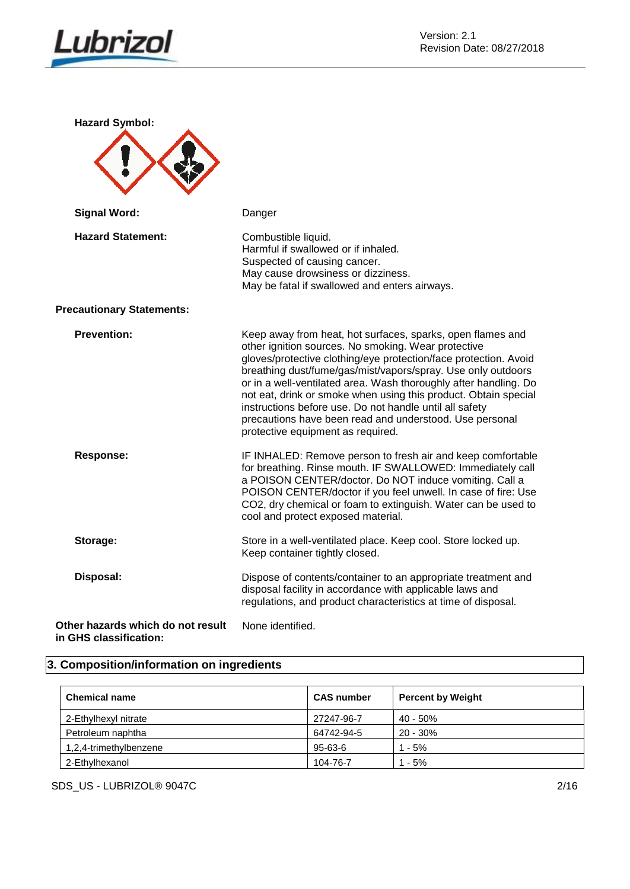

| <b>Hazard Symbol:</b>                                       |                                                                                                                                                                                                                                                                                                                                                                                                                                                                                                                                                         |
|-------------------------------------------------------------|---------------------------------------------------------------------------------------------------------------------------------------------------------------------------------------------------------------------------------------------------------------------------------------------------------------------------------------------------------------------------------------------------------------------------------------------------------------------------------------------------------------------------------------------------------|
| <b>Signal Word:</b>                                         | Danger                                                                                                                                                                                                                                                                                                                                                                                                                                                                                                                                                  |
| <b>Hazard Statement:</b>                                    | Combustible liquid.<br>Harmful if swallowed or if inhaled.<br>Suspected of causing cancer.<br>May cause drowsiness or dizziness.<br>May be fatal if swallowed and enters airways.                                                                                                                                                                                                                                                                                                                                                                       |
| <b>Precautionary Statements:</b>                            |                                                                                                                                                                                                                                                                                                                                                                                                                                                                                                                                                         |
| <b>Prevention:</b>                                          | Keep away from heat, hot surfaces, sparks, open flames and<br>other ignition sources. No smoking. Wear protective<br>gloves/protective clothing/eye protection/face protection. Avoid<br>breathing dust/fume/gas/mist/vapors/spray. Use only outdoors<br>or in a well-ventilated area. Wash thoroughly after handling. Do<br>not eat, drink or smoke when using this product. Obtain special<br>instructions before use. Do not handle until all safety<br>precautions have been read and understood. Use personal<br>protective equipment as required. |
| <b>Response:</b>                                            | IF INHALED: Remove person to fresh air and keep comfortable<br>for breathing. Rinse mouth. IF SWALLOWED: Immediately call<br>a POISON CENTER/doctor. Do NOT induce vomiting. Call a<br>POISON CENTER/doctor if you feel unwell. In case of fire: Use<br>CO2, dry chemical or foam to extinguish. Water can be used to<br>cool and protect exposed material.                                                                                                                                                                                             |
| Storage:                                                    | Store in a well-ventilated place. Keep cool. Store locked up.<br>Keep container tightly closed.                                                                                                                                                                                                                                                                                                                                                                                                                                                         |
| Disposal:                                                   | Dispose of contents/container to an appropriate treatment and<br>disposal facility in accordance with applicable laws and<br>regulations, and product characteristics at time of disposal.                                                                                                                                                                                                                                                                                                                                                              |
| Other hazards which do not result<br>in GHS classification: | None identified.                                                                                                                                                                                                                                                                                                                                                                                                                                                                                                                                        |

# **3. Composition/information on ingredients**

| <b>Chemical name</b>   | <b>CAS number</b> | <b>Percent by Weight</b> |
|------------------------|-------------------|--------------------------|
| 2-Ethylhexyl nitrate   | 27247-96-7        | 40 - 50%                 |
| Petroleum naphtha      | 64742-94-5        | $20 - 30%$               |
| 1,2,4-trimethylbenzene | 95-63-6           | $1 - 5%$                 |
| 2-Ethylhexanol         | 104-76-7          | 1 - 5%                   |

SDS\_US - LUBRIZOL® 9047C 2/16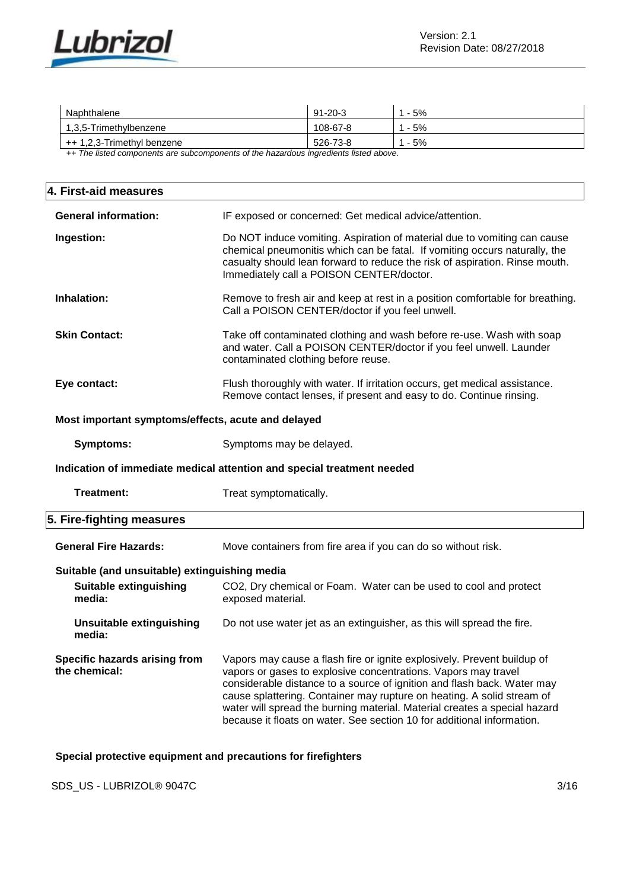

| Naphthalene                                                                          | 91-20-3  | - 5% |  |
|--------------------------------------------------------------------------------------|----------|------|--|
| 1.3.5-Trimethylbenzene                                                               | 108-67-8 | - 5% |  |
| ++ 1,2,3-Trimethyl benzene                                                           | 526-73-8 | - 5% |  |
| The lighted companished are autocompanies of the besonders incrediente lighted above |          |      |  |

*++ The listed components are subcomponents of the hazardous ingredients listed above.*

| 4. First-aid measures                              |                                                                                                                                                                                                                                                                                                |  |
|----------------------------------------------------|------------------------------------------------------------------------------------------------------------------------------------------------------------------------------------------------------------------------------------------------------------------------------------------------|--|
| <b>General information:</b>                        | IF exposed or concerned: Get medical advice/attention.                                                                                                                                                                                                                                         |  |
| Ingestion:                                         | Do NOT induce vomiting. Aspiration of material due to vomiting can cause<br>chemical pneumonitis which can be fatal. If vomiting occurs naturally, the<br>casualty should lean forward to reduce the risk of aspiration. Rinse mouth.<br>Immediately call a POISON CENTER/doctor.              |  |
| Inhalation:                                        | Remove to fresh air and keep at rest in a position comfortable for breathing.<br>Call a POISON CENTER/doctor if you feel unwell.                                                                                                                                                               |  |
| <b>Skin Contact:</b>                               | Take off contaminated clothing and wash before re-use. Wash with soap<br>and water. Call a POISON CENTER/doctor if you feel unwell. Launder<br>contaminated clothing before reuse.                                                                                                             |  |
| Eye contact:                                       | Flush thoroughly with water. If irritation occurs, get medical assistance.<br>Remove contact lenses, if present and easy to do. Continue rinsing.                                                                                                                                              |  |
| Most important symptoms/effects, acute and delayed |                                                                                                                                                                                                                                                                                                |  |
| <b>Symptoms:</b>                                   | Symptoms may be delayed.                                                                                                                                                                                                                                                                       |  |
|                                                    | Indication of immediate medical attention and special treatment needed                                                                                                                                                                                                                         |  |
| <b>Treatment:</b>                                  | Treat symptomatically.                                                                                                                                                                                                                                                                         |  |
| 5. Fire-fighting measures                          |                                                                                                                                                                                                                                                                                                |  |
| <b>General Fire Hazards:</b>                       | Move containers from fire area if you can do so without risk.                                                                                                                                                                                                                                  |  |
| Suitable (and unsuitable) extinguishing media      |                                                                                                                                                                                                                                                                                                |  |
| Suitable extinguishing<br>media:                   | CO2, Dry chemical or Foam. Water can be used to cool and protect<br>exposed material.                                                                                                                                                                                                          |  |
| <b>Unsuitable extinguishing</b><br>media:          | Do not use water jet as an extinguisher, as this will spread the fire.                                                                                                                                                                                                                         |  |
| Specific hazards arising from<br>the chemical:     | Vapors may cause a flash fire or ignite explosively. Prevent buildup of<br>vapors or gases to explosive concentrations. Vapors may travel<br>considerable distance to a source of ignition and flash back. Water may<br>cause splattering. Container may rupture on heating. A solid stream of |  |

**Special protective equipment and precautions for firefighters**

SDS\_US - LUBRIZOL® 9047C 3/16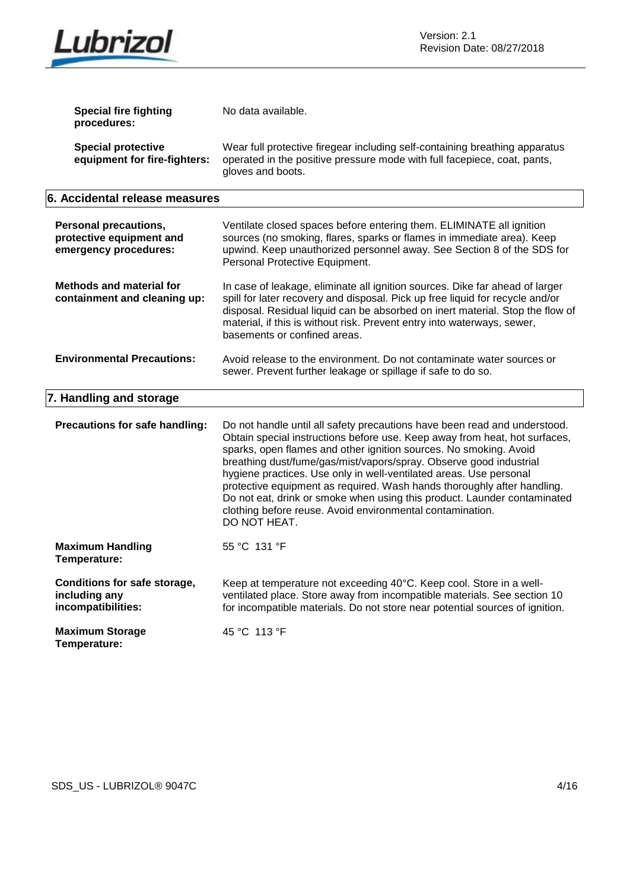

| <b>Special fire fighting</b><br>procedures:                                       | No data available.                                                                                                                                                                                                                                                                                                                                                                                                                                                                                                                                                                                           |
|-----------------------------------------------------------------------------------|--------------------------------------------------------------------------------------------------------------------------------------------------------------------------------------------------------------------------------------------------------------------------------------------------------------------------------------------------------------------------------------------------------------------------------------------------------------------------------------------------------------------------------------------------------------------------------------------------------------|
| <b>Special protective</b><br>equipment for fire-fighters:                         | Wear full protective firegear including self-containing breathing apparatus<br>operated in the positive pressure mode with full facepiece, coat, pants,<br>gloves and boots.                                                                                                                                                                                                                                                                                                                                                                                                                                 |
| 6. Accidental release measures                                                    |                                                                                                                                                                                                                                                                                                                                                                                                                                                                                                                                                                                                              |
| <b>Personal precautions,</b><br>protective equipment and<br>emergency procedures: | Ventilate closed spaces before entering them. ELIMINATE all ignition<br>sources (no smoking, flares, sparks or flames in immediate area). Keep<br>upwind. Keep unauthorized personnel away. See Section 8 of the SDS for<br>Personal Protective Equipment.                                                                                                                                                                                                                                                                                                                                                   |
| <b>Methods and material for</b><br>containment and cleaning up:                   | In case of leakage, eliminate all ignition sources. Dike far ahead of larger<br>spill for later recovery and disposal. Pick up free liquid for recycle and/or<br>disposal. Residual liquid can be absorbed on inert material. Stop the flow of<br>material, if this is without risk. Prevent entry into waterways, sewer,<br>basements or confined areas.                                                                                                                                                                                                                                                    |
| <b>Environmental Precautions:</b>                                                 | Avoid release to the environment. Do not contaminate water sources or<br>sewer. Prevent further leakage or spillage if safe to do so.                                                                                                                                                                                                                                                                                                                                                                                                                                                                        |
| 7. Handling and storage                                                           |                                                                                                                                                                                                                                                                                                                                                                                                                                                                                                                                                                                                              |
| Precautions for safe handling:                                                    | Do not handle until all safety precautions have been read and understood.<br>Obtain special instructions before use. Keep away from heat, hot surfaces,<br>sparks, open flames and other ignition sources. No smoking. Avoid<br>breathing dust/fume/gas/mist/vapors/spray. Observe good industrial<br>hygiene practices. Use only in well-ventilated areas. Use personal<br>protective equipment as required. Wash hands thoroughly after handling.<br>Do not eat, drink or smoke when using this product. Launder contaminated<br>clothing before reuse. Avoid environmental contamination.<br>DO NOT HEAT. |
| <b>Maximum Handling</b><br>Temperature:                                           | 55 °C 131 °F                                                                                                                                                                                                                                                                                                                                                                                                                                                                                                                                                                                                 |
| Conditions for safe storage,<br>including any<br>incompatibilities:               | Keep at temperature not exceeding 40°C. Keep cool. Store in a well-<br>ventilated place. Store away from incompatible materials. See section 10<br>for incompatible materials. Do not store near potential sources of ignition.                                                                                                                                                                                                                                                                                                                                                                              |
| <b>Maximum Storage</b><br>Temperature:                                            | 45 °C 113 °F                                                                                                                                                                                                                                                                                                                                                                                                                                                                                                                                                                                                 |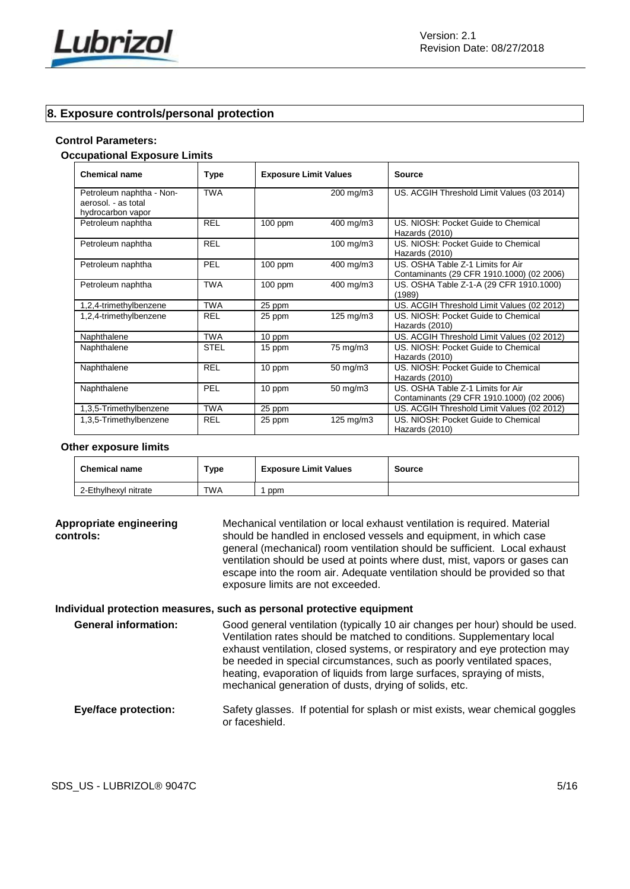

# **8. Exposure controls/personal protection**

#### **Control Parameters:**

#### **Occupational Exposure Limits**

| <b>Chemical name</b>                                                 | Type        | <b>Exposure Limit Values</b> |                      | Source                                                                         |
|----------------------------------------------------------------------|-------------|------------------------------|----------------------|--------------------------------------------------------------------------------|
| Petroleum naphtha - Non-<br>aerosol. - as total<br>hydrocarbon vapor | <b>TWA</b>  |                              | 200 mg/m3            | US. ACGIH Threshold Limit Values (03 2014)                                     |
| Petroleum naphtha                                                    | <b>REL</b>  | $100$ ppm                    | 400 mg/m3            | US. NIOSH: Pocket Guide to Chemical<br>Hazards (2010)                          |
| Petroleum naphtha                                                    | <b>REL</b>  |                              | 100 mg/m3            | US. NIOSH: Pocket Guide to Chemical<br>Hazards (2010)                          |
| Petroleum naphtha                                                    | <b>PEL</b>  | $100$ ppm                    | 400 mg/m3            | US. OSHA Table Z-1 Limits for Air<br>Contaminants (29 CFR 1910.1000) (02 2006) |
| Petroleum naphtha                                                    | <b>TWA</b>  | $100$ ppm                    | 400 mg/m3            | US. OSHA Table Z-1-A (29 CFR 1910.1000)<br>(1989)                              |
| 1,2,4-trimethylbenzene                                               | <b>TWA</b>  | 25 ppm                       |                      | US. ACGIH Threshold Limit Values (02 2012)                                     |
| 1,2,4-trimethylbenzene                                               | <b>REL</b>  | 25 ppm                       | $125 \text{ mg/m}$ 3 | US. NIOSH: Pocket Guide to Chemical<br>Hazards (2010)                          |
| Naphthalene                                                          | <b>TWA</b>  | 10 ppm                       |                      | US. ACGIH Threshold Limit Values (02 2012)                                     |
| Naphthalene                                                          | <b>STEL</b> | 15 ppm                       | 75 mg/m3             | US. NIOSH: Pocket Guide to Chemical<br>Hazards (2010)                          |
| Naphthalene                                                          | <b>REL</b>  | 10 ppm                       | 50 mg/m3             | US. NIOSH: Pocket Guide to Chemical<br>Hazards (2010)                          |
| Naphthalene                                                          | PEL         | 10 ppm                       | 50 mg/m3             | US. OSHA Table Z-1 Limits for Air<br>Contaminants (29 CFR 1910.1000) (02 2006) |
| 1,3,5-Trimethylbenzene                                               | <b>TWA</b>  | 25 ppm                       |                      | US. ACGIH Threshold Limit Values (02 2012)                                     |
| 1,3,5-Trimethylbenzene                                               | <b>REL</b>  | 25 ppm                       | 125 mg/m3            | US. NIOSH: Pocket Guide to Chemical<br>Hazards (2010)                          |

#### **Other exposure limits**

| <b>Chemical name</b> | Type       | <b>Exposure Limit Values</b> | Source |
|----------------------|------------|------------------------------|--------|
| 2-Ethylhexyl nitrate | <b>TWA</b> | ppm                          |        |

**Appropriate engineering controls:** Mechanical ventilation or local exhaust ventilation is required. Material should be handled in enclosed vessels and equipment, in which case general (mechanical) room ventilation should be sufficient. Local exhaust ventilation should be used at points where dust, mist, vapors or gases can escape into the room air. Adequate ventilation should be provided so that exposure limits are not exceeded.

#### **Individual protection measures, such as personal protective equipment**

**General information:** Good general ventilation (typically 10 air changes per hour) should be used. Ventilation rates should be matched to conditions. Supplementary local exhaust ventilation, closed systems, or respiratory and eye protection may be needed in special circumstances, such as poorly ventilated spaces, heating, evaporation of liquids from large surfaces, spraying of mists, mechanical generation of dusts, drying of solids, etc.

# **Eye/face protection:** Safety glasses. If potential for splash or mist exists, wear chemical goggles or faceshield.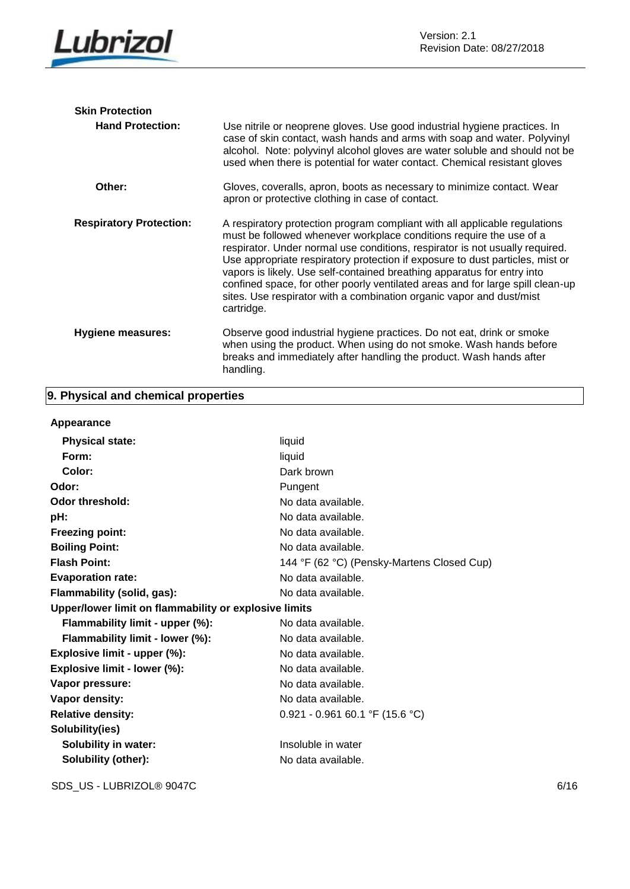

| <b>Skin Protection</b>         |                                                                                                                                                                                                                                                                                                                                                                                                                                                                                                                                                                       |
|--------------------------------|-----------------------------------------------------------------------------------------------------------------------------------------------------------------------------------------------------------------------------------------------------------------------------------------------------------------------------------------------------------------------------------------------------------------------------------------------------------------------------------------------------------------------------------------------------------------------|
| <b>Hand Protection:</b>        | Use nitrile or neoprene gloves. Use good industrial hygiene practices. In<br>case of skin contact, wash hands and arms with soap and water. Polyvinyl<br>alcohol. Note: polyvinyl alcohol gloves are water soluble and should not be<br>used when there is potential for water contact. Chemical resistant gloves                                                                                                                                                                                                                                                     |
| Other:                         | Gloves, coveralls, apron, boots as necessary to minimize contact. Wear<br>apron or protective clothing in case of contact.                                                                                                                                                                                                                                                                                                                                                                                                                                            |
| <b>Respiratory Protection:</b> | A respiratory protection program compliant with all applicable regulations<br>must be followed whenever workplace conditions require the use of a<br>respirator. Under normal use conditions, respirator is not usually required.<br>Use appropriate respiratory protection if exposure to dust particles, mist or<br>vapors is likely. Use self-contained breathing apparatus for entry into<br>confined space, for other poorly ventilated areas and for large spill clean-up<br>sites. Use respirator with a combination organic vapor and dust/mist<br>cartridge. |
| Hygiene measures:              | Observe good industrial hygiene practices. Do not eat, drink or smoke<br>when using the product. When using do not smoke. Wash hands before<br>breaks and immediately after handling the product. Wash hands after<br>handling.                                                                                                                                                                                                                                                                                                                                       |

# **9. Physical and chemical properties**

# **Appearance**

| <b>Physical state:</b>                                | liquid                                     |  |
|-------------------------------------------------------|--------------------------------------------|--|
| Form:                                                 | liquid                                     |  |
| Color:                                                | Dark brown                                 |  |
| Odor:                                                 | Pungent                                    |  |
| <b>Odor threshold:</b>                                | No data available.                         |  |
| pH:                                                   | No data available.                         |  |
| <b>Freezing point:</b>                                | No data available.                         |  |
| <b>Boiling Point:</b>                                 | No data available.                         |  |
| <b>Flash Point:</b>                                   | 144 °F (62 °C) (Pensky-Martens Closed Cup) |  |
| <b>Evaporation rate:</b>                              | No data available.                         |  |
| Flammability (solid, gas):                            | No data available.                         |  |
| Upper/lower limit on flammability or explosive limits |                                            |  |
| Flammability limit - upper (%):                       | No data available.                         |  |
| Flammability limit - lower (%):                       | No data available.                         |  |
| Explosive limit - upper (%):                          | No data available.                         |  |
| Explosive limit - lower (%):                          | No data available.                         |  |
| Vapor pressure:                                       | No data available.                         |  |
| Vapor density:                                        | No data available.                         |  |
| <b>Relative density:</b>                              | $0.921 - 0.961 60.1$ °F (15.6 °C)          |  |
| Solubility(ies)                                       |                                            |  |
| Solubility in water:                                  | Insoluble in water                         |  |
| Solubility (other):                                   | No data available.                         |  |

SDS\_US - LUBRIZOL® 9047C 6/16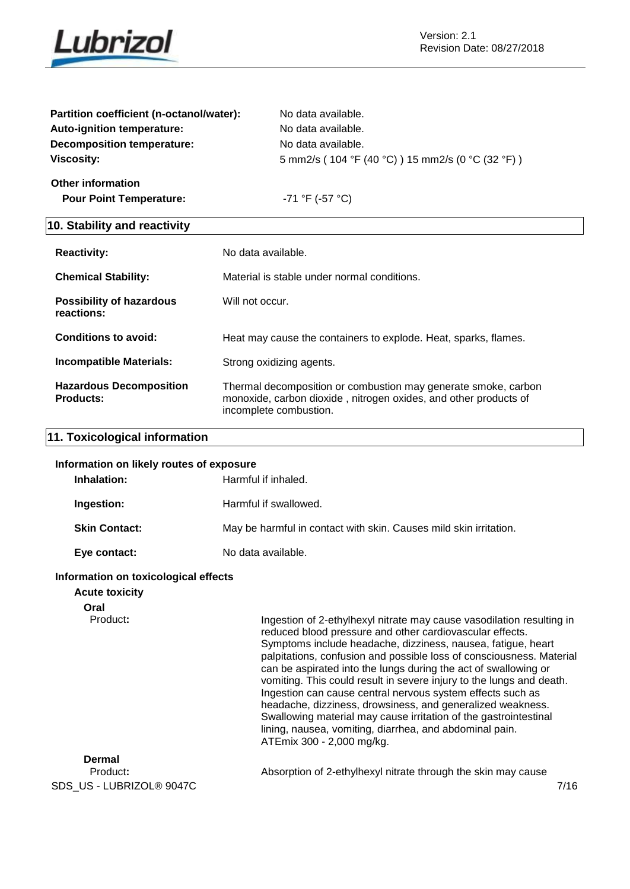

| Partition coefficient (n-octanol/water): | No data available.                                  |
|------------------------------------------|-----------------------------------------------------|
| Auto-ignition temperature:               | No data available.                                  |
| <b>Decomposition temperature:</b>        | No data available.                                  |
| <b>Viscosity:</b>                        | 5 mm2/s ( 104 °F (40 °C) ) 15 mm2/s (0 °C (32 °F) ) |
| <b>Other information</b>                 |                                                     |
| <b>Pour Point Temperature:</b>           | -71 °F (-57 °C)                                     |
|                                          |                                                     |

# **10. Stability and reactivity**

| <b>Reactivity:</b>                                 | No data available.                                                                                                                                           |
|----------------------------------------------------|--------------------------------------------------------------------------------------------------------------------------------------------------------------|
| <b>Chemical Stability:</b>                         | Material is stable under normal conditions.                                                                                                                  |
| <b>Possibility of hazardous</b><br>reactions:      | Will not occur.                                                                                                                                              |
| Conditions to avoid:                               | Heat may cause the containers to explode. Heat, sparks, flames.                                                                                              |
| <b>Incompatible Materials:</b>                     | Strong oxidizing agents.                                                                                                                                     |
| <b>Hazardous Decomposition</b><br><b>Products:</b> | Thermal decomposition or combustion may generate smoke, carbon<br>monoxide, carbon dioxide, nitrogen oxides, and other products of<br>incomplete combustion. |

# **11. Toxicological information**

#### **Information on likely routes of exposure**

| Inhalation:          | Harmful if inhaled.                                               |
|----------------------|-------------------------------------------------------------------|
| Ingestion:           | Harmful if swallowed.                                             |
| <b>Skin Contact:</b> | May be harmful in contact with skin. Causes mild skin irritation. |
| Eye contact:         | No data available.                                                |

#### **Information on toxicological effects**

# **Acute toxicity**

**Oral**

Product: Ingestion of 2-ethylhexyl nitrate may cause vasodilation resulting in reduced blood pressure and other cardiovascular effects. Symptoms include headache, dizziness, nausea, fatigue, heart palpitations, confusion and possible loss of consciousness. Material can be aspirated into the lungs during the act of swallowing or vomiting. This could result in severe injury to the lungs and death. Ingestion can cause central nervous system effects such as headache, dizziness, drowsiness, and generalized weakness. Swallowing material may cause irritation of the gastrointestinal lining, nausea, vomiting, diarrhea, and abdominal pain. ATEmix 300 - 2,000 mg/kg.

| Dermal                    |                                                               |      |
|---------------------------|---------------------------------------------------------------|------|
| Product:                  | Absorption of 2-ethylhexyl nitrate through the skin may cause |      |
| SDS_US - LUBRIZOL® 9047C_ |                                                               | 7/16 |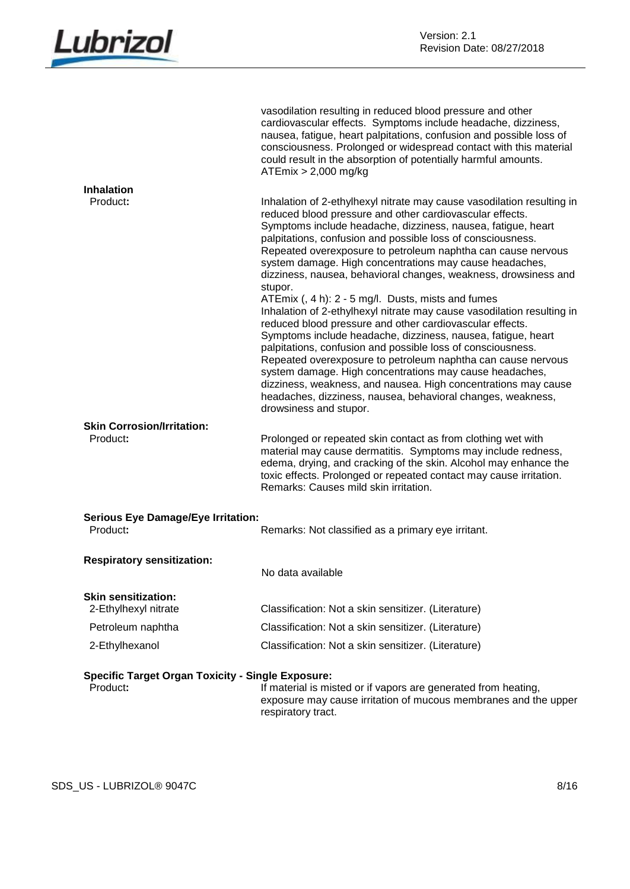

|                                                                      | vasodilation resulting in reduced blood pressure and other<br>cardiovascular effects. Symptoms include headache, dizziness,<br>nausea, fatigue, heart palpitations, confusion and possible loss of<br>consciousness. Prolonged or widespread contact with this material<br>could result in the absorption of potentially harmful amounts.<br>$ATEmix > 2,000$ mg/kg                                                                                                                                                                                                                                           |
|----------------------------------------------------------------------|---------------------------------------------------------------------------------------------------------------------------------------------------------------------------------------------------------------------------------------------------------------------------------------------------------------------------------------------------------------------------------------------------------------------------------------------------------------------------------------------------------------------------------------------------------------------------------------------------------------|
| <b>Inhalation</b>                                                    |                                                                                                                                                                                                                                                                                                                                                                                                                                                                                                                                                                                                               |
| Product:                                                             | Inhalation of 2-ethylhexyl nitrate may cause vasodilation resulting in<br>reduced blood pressure and other cardiovascular effects.<br>Symptoms include headache, dizziness, nausea, fatigue, heart<br>palpitations, confusion and possible loss of consciousness.<br>Repeated overexposure to petroleum naphtha can cause nervous<br>system damage. High concentrations may cause headaches,<br>dizziness, nausea, behavioral changes, weakness, drowsiness and<br>stupor.                                                                                                                                    |
|                                                                      | ATEmix (, 4 h): 2 - 5 mg/l. Dusts, mists and fumes<br>Inhalation of 2-ethylhexyl nitrate may cause vasodilation resulting in<br>reduced blood pressure and other cardiovascular effects.<br>Symptoms include headache, dizziness, nausea, fatigue, heart<br>palpitations, confusion and possible loss of consciousness.<br>Repeated overexposure to petroleum naphtha can cause nervous<br>system damage. High concentrations may cause headaches,<br>dizziness, weakness, and nausea. High concentrations may cause<br>headaches, dizziness, nausea, behavioral changes, weakness,<br>drowsiness and stupor. |
| <b>Skin Corrosion/Irritation:</b><br>Product:                        | Prolonged or repeated skin contact as from clothing wet with<br>material may cause dermatitis. Symptoms may include redness,<br>edema, drying, and cracking of the skin. Alcohol may enhance the<br>toxic effects. Prolonged or repeated contact may cause irritation.<br>Remarks: Causes mild skin irritation.                                                                                                                                                                                                                                                                                               |
| <b>Serious Eye Damage/Eye Irritation:</b>                            |                                                                                                                                                                                                                                                                                                                                                                                                                                                                                                                                                                                                               |
| Product:                                                             | Remarks: Not classified as a primary eye irritant.                                                                                                                                                                                                                                                                                                                                                                                                                                                                                                                                                            |
| <b>Respiratory sensitization:</b>                                    | No data available                                                                                                                                                                                                                                                                                                                                                                                                                                                                                                                                                                                             |
| <b>Skin sensitization:</b><br>2-Ethylhexyl nitrate                   | Classification: Not a skin sensitizer. (Literature)                                                                                                                                                                                                                                                                                                                                                                                                                                                                                                                                                           |
| Petroleum naphtha                                                    | Classification: Not a skin sensitizer. (Literature)                                                                                                                                                                                                                                                                                                                                                                                                                                                                                                                                                           |
| 2-Ethylhexanol                                                       | Classification: Not a skin sensitizer. (Literature)                                                                                                                                                                                                                                                                                                                                                                                                                                                                                                                                                           |
|                                                                      |                                                                                                                                                                                                                                                                                                                                                                                                                                                                                                                                                                                                               |
| <b>Specific Target Organ Toxicity - Single Exposure:</b><br>Product: | If material is misted or if vapors are generated from heating,<br>exposure may cause irritation of mucous membranes and the upper<br>respiratory tract.                                                                                                                                                                                                                                                                                                                                                                                                                                                       |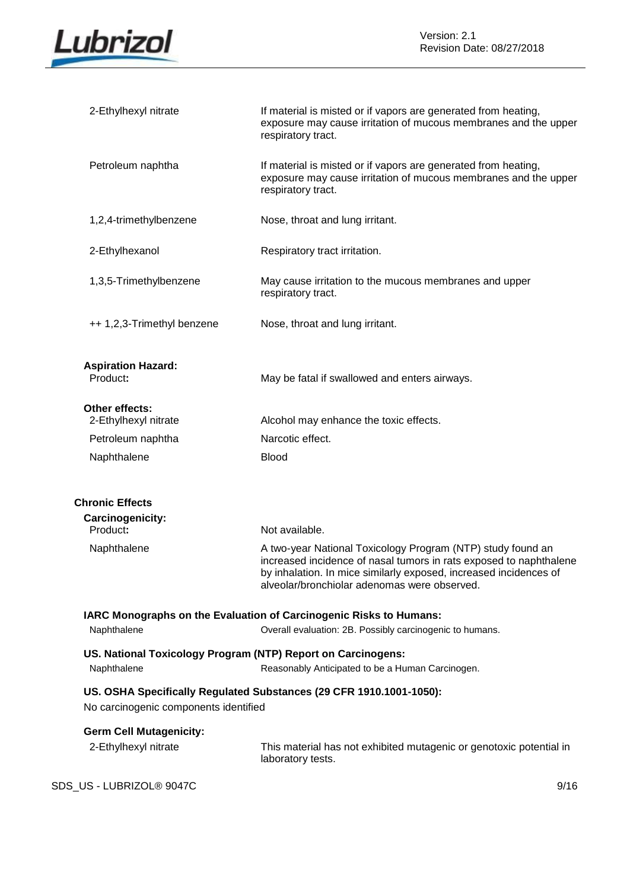

| 2-Ethylhexyl nitrate                                                        | If material is misted or if vapors are generated from heating,<br>exposure may cause irritation of mucous membranes and the upper<br>respiratory tract.                                                                                                |
|-----------------------------------------------------------------------------|--------------------------------------------------------------------------------------------------------------------------------------------------------------------------------------------------------------------------------------------------------|
| Petroleum naphtha                                                           | If material is misted or if vapors are generated from heating,<br>exposure may cause irritation of mucous membranes and the upper<br>respiratory tract.                                                                                                |
| 1,2,4-trimethylbenzene                                                      | Nose, throat and lung irritant.                                                                                                                                                                                                                        |
| 2-Ethylhexanol                                                              | Respiratory tract irritation.                                                                                                                                                                                                                          |
| 1,3,5-Trimethylbenzene                                                      | May cause irritation to the mucous membranes and upper<br>respiratory tract.                                                                                                                                                                           |
| ++ 1,2,3-Trimethyl benzene                                                  | Nose, throat and lung irritant.                                                                                                                                                                                                                        |
| <b>Aspiration Hazard:</b><br>Product:                                       | May be fatal if swallowed and enters airways.                                                                                                                                                                                                          |
| Other effects:<br>2-Ethylhexyl nitrate                                      | Alcohol may enhance the toxic effects.                                                                                                                                                                                                                 |
| Petroleum naphtha                                                           | Narcotic effect.                                                                                                                                                                                                                                       |
| Naphthalene                                                                 | <b>Blood</b>                                                                                                                                                                                                                                           |
| <b>Chronic Effects</b>                                                      |                                                                                                                                                                                                                                                        |
| Carcinogenicity:<br>Product:                                                | Not available.                                                                                                                                                                                                                                         |
| Naphthalene                                                                 | A two-year National Toxicology Program (NTP) study found an<br>increased incidence of nasal tumors in rats exposed to naphthalene<br>by inhalation. In mice similarly exposed, increased incidences of<br>alveolar/bronchiolar adenomas were observed. |
| Naphthalene                                                                 | IARC Monographs on the Evaluation of Carcinogenic Risks to Humans:<br>Overall evaluation: 2B. Possibly carcinogenic to humans.                                                                                                                         |
|                                                                             |                                                                                                                                                                                                                                                        |
| US. National Toxicology Program (NTP) Report on Carcinogens:<br>Naphthalene | Reasonably Anticipated to be a Human Carcinogen.                                                                                                                                                                                                       |
| No carcinogenic components identified                                       | US. OSHA Specifically Regulated Substances (29 CFR 1910.1001-1050):                                                                                                                                                                                    |
| <b>Germ Cell Mutagenicity:</b>                                              |                                                                                                                                                                                                                                                        |
| 2-Ethylhexyl nitrate                                                        | This material has not exhibited mutagenic or genotoxic potential in<br>laboratory tests.                                                                                                                                                               |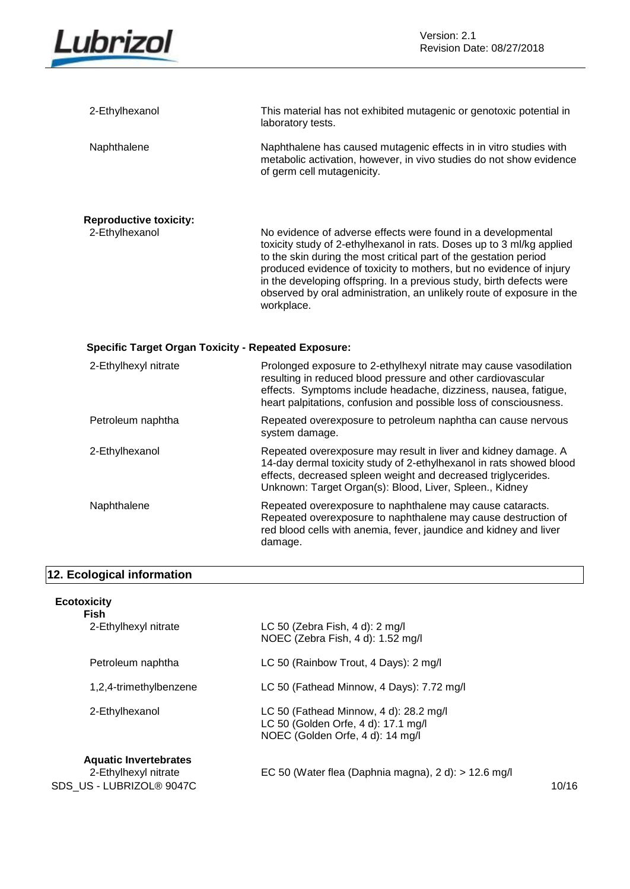

| 2-Ethylhexanol                                             | This material has not exhibited mutagenic or genotoxic potential in<br>laboratory tests.                                                                                                                                                                                                                                                                                                                                                         |
|------------------------------------------------------------|--------------------------------------------------------------------------------------------------------------------------------------------------------------------------------------------------------------------------------------------------------------------------------------------------------------------------------------------------------------------------------------------------------------------------------------------------|
| Naphthalene                                                | Naphthalene has caused mutagenic effects in in vitro studies with<br>metabolic activation, however, in vivo studies do not show evidence<br>of germ cell mutagenicity.                                                                                                                                                                                                                                                                           |
| <b>Reproductive toxicity:</b>                              |                                                                                                                                                                                                                                                                                                                                                                                                                                                  |
| 2-Ethylhexanol                                             | No evidence of adverse effects were found in a developmental<br>toxicity study of 2-ethylhexanol in rats. Doses up to 3 ml/kg applied<br>to the skin during the most critical part of the gestation period<br>produced evidence of toxicity to mothers, but no evidence of injury<br>in the developing offspring. In a previous study, birth defects were<br>observed by oral administration, an unlikely route of exposure in the<br>workplace. |
|                                                            |                                                                                                                                                                                                                                                                                                                                                                                                                                                  |
| <b>Specific Target Organ Toxicity - Repeated Exposure:</b> |                                                                                                                                                                                                                                                                                                                                                                                                                                                  |
| 2-Ethylhexyl nitrate                                       | Prolonged exposure to 2-ethylhexyl nitrate may cause vasodilation<br>resulting in reduced blood pressure and other cardiovascular<br>effects. Symptoms include headache, dizziness, nausea, fatigue,<br>heart palpitations, confusion and possible loss of consciousness.                                                                                                                                                                        |
| Petroleum naphtha                                          | Repeated overexposure to petroleum naphtha can cause nervous<br>system damage.                                                                                                                                                                                                                                                                                                                                                                   |
| 2-Ethylhexanol                                             | Repeated overexposure may result in liver and kidney damage. A<br>14-day dermal toxicity study of 2-ethylhexanol in rats showed blood<br>effects, decreased spleen weight and decreased triglycerides.<br>Unknown: Target Organ(s): Blood, Liver, Spleen., Kidney                                                                                                                                                                                |

# **12. Ecological information**

| <b>Ecotoxicity</b> |  |  |
|--------------------|--|--|
|                    |  |  |

| <b>Fish</b>                                                                      |                                                                                                                   |       |
|----------------------------------------------------------------------------------|-------------------------------------------------------------------------------------------------------------------|-------|
| 2-Ethylhexyl nitrate                                                             | LC 50 (Zebra Fish, 4 d): 2 mg/l<br>NOEC (Zebra Fish, 4 d): 1.52 mg/l                                              |       |
| Petroleum naphtha                                                                | LC 50 (Rainbow Trout, 4 Days): 2 mg/l                                                                             |       |
| 1,2,4-trimethylbenzene                                                           | LC 50 (Fathead Minnow, 4 Days): 7.72 mg/l                                                                         |       |
| 2-Ethylhexanol                                                                   | LC 50 (Fathead Minnow, 4 d): 28.2 mg/l<br>LC 50 (Golden Orfe, 4 d): 17.1 mg/l<br>NOEC (Golden Orfe, 4 d): 14 mg/l |       |
| <b>Aquatic Invertebrates</b><br>2-Ethylhexyl nitrate<br>SDS US - LUBRIZOL® 9047C | EC 50 (Water flea (Daphnia magna), $2 d$ : > 12.6 mg/l                                                            | 10/16 |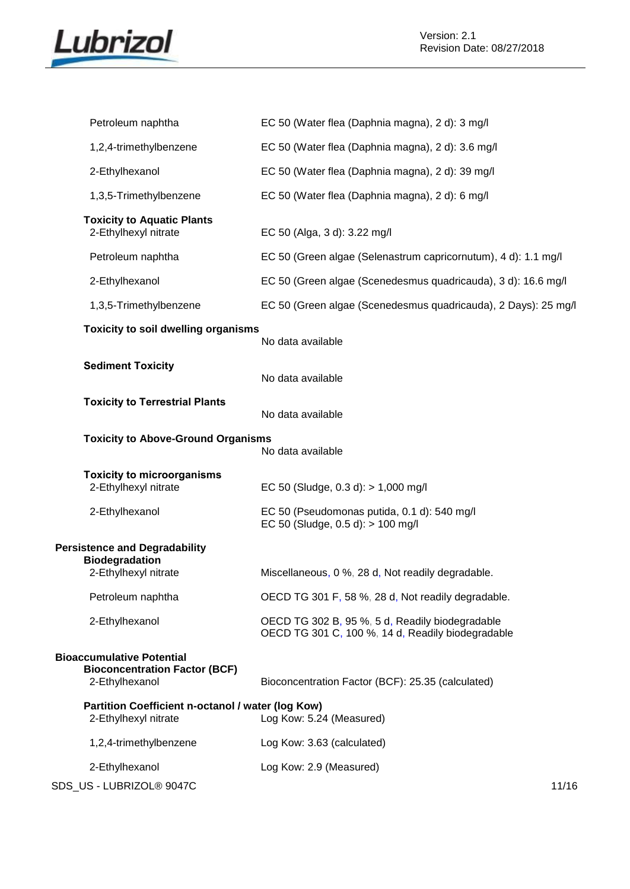

| Petroleum naphtha                                                                          | EC 50 (Water flea (Daphnia magna), 2 d): 3 mg/l                                                      |  |
|--------------------------------------------------------------------------------------------|------------------------------------------------------------------------------------------------------|--|
| 1,2,4-trimethylbenzene                                                                     | EC 50 (Water flea (Daphnia magna), 2 d): 3.6 mg/l                                                    |  |
| 2-Ethylhexanol                                                                             | EC 50 (Water flea (Daphnia magna), 2 d): 39 mg/l                                                     |  |
| 1,3,5-Trimethylbenzene                                                                     | EC 50 (Water flea (Daphnia magna), 2 d): 6 mg/l                                                      |  |
| <b>Toxicity to Aquatic Plants</b><br>2-Ethylhexyl nitrate                                  | EC 50 (Alga, 3 d): 3.22 mg/l                                                                         |  |
| Petroleum naphtha                                                                          | EC 50 (Green algae (Selenastrum capricornutum), 4 d): 1.1 mg/l                                       |  |
| 2-Ethylhexanol                                                                             | EC 50 (Green algae (Scenedesmus quadricauda), 3 d): 16.6 mg/l                                        |  |
| 1,3,5-Trimethylbenzene                                                                     | EC 50 (Green algae (Scenedesmus quadricauda), 2 Days): 25 mg/l                                       |  |
| <b>Toxicity to soil dwelling organisms</b>                                                 | No data available                                                                                    |  |
| <b>Sediment Toxicity</b>                                                                   | No data available                                                                                    |  |
| <b>Toxicity to Terrestrial Plants</b>                                                      | No data available                                                                                    |  |
| <b>Toxicity to Above-Ground Organisms</b>                                                  | No data available                                                                                    |  |
| <b>Toxicity to microorganisms</b><br>2-Ethylhexyl nitrate                                  | EC 50 (Sludge, $0.3 d$ ): $> 1,000 mg/l$                                                             |  |
| 2-Ethylhexanol                                                                             | EC 50 (Pseudomonas putida, 0.1 d): 540 mg/l<br>EC 50 (Sludge, $0.5 d$ ): $> 100 mg/l$                |  |
| <b>Persistence and Degradability</b><br><b>Biodegradation</b><br>2-Ethylhexyl nitrate      | Miscellaneous, 0 %, 28 d, Not readily degradable.                                                    |  |
| Petroleum naphtha                                                                          | OECD TG 301 F, 58 %, 28 d, Not readily degradable.                                                   |  |
| 2-Ethylhexanol                                                                             | OECD TG 302 B, 95 %, 5 d, Readily biodegradable<br>OECD TG 301 C, 100 %, 14 d, Readily biodegradable |  |
| <b>Bioaccumulative Potential</b><br><b>Bioconcentration Factor (BCF)</b><br>2-Ethylhexanol | Bioconcentration Factor (BCF): 25.35 (calculated)                                                    |  |
| Partition Coefficient n-octanol / water (log Kow)<br>2-Ethylhexyl nitrate                  | Log Kow: 5.24 (Measured)                                                                             |  |
| 1,2,4-trimethylbenzene                                                                     | Log Kow: 3.63 (calculated)                                                                           |  |
| 2-Ethylhexanol                                                                             | Log Kow: 2.9 (Measured)                                                                              |  |
|                                                                                            |                                                                                                      |  |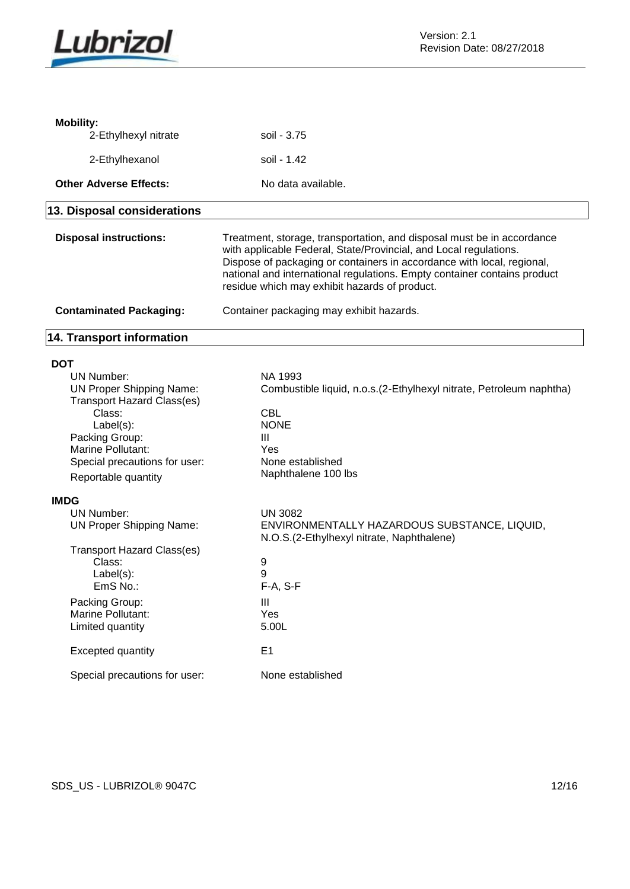

| <b>Mobility:</b>                  |                                                                                                                                                                                                                                                                                                                                                    |
|-----------------------------------|----------------------------------------------------------------------------------------------------------------------------------------------------------------------------------------------------------------------------------------------------------------------------------------------------------------------------------------------------|
| 2-Ethylhexyl nitrate              | soil - 3.75                                                                                                                                                                                                                                                                                                                                        |
| 2-Ethylhexanol                    | soil - 1.42                                                                                                                                                                                                                                                                                                                                        |
|                                   |                                                                                                                                                                                                                                                                                                                                                    |
| <b>Other Adverse Effects:</b>     | No data available.                                                                                                                                                                                                                                                                                                                                 |
| 13. Disposal considerations       |                                                                                                                                                                                                                                                                                                                                                    |
| <b>Disposal instructions:</b>     | Treatment, storage, transportation, and disposal must be in accordance<br>with applicable Federal, State/Provincial, and Local regulations.<br>Dispose of packaging or containers in accordance with local, regional,<br>national and international regulations. Empty container contains product<br>residue which may exhibit hazards of product. |
| <b>Contaminated Packaging:</b>    | Container packaging may exhibit hazards.                                                                                                                                                                                                                                                                                                           |
| 14. Transport information         |                                                                                                                                                                                                                                                                                                                                                    |
| <b>DOT</b>                        |                                                                                                                                                                                                                                                                                                                                                    |
| <b>UN Number:</b>                 | NA 1993                                                                                                                                                                                                                                                                                                                                            |
| <b>UN Proper Shipping Name:</b>   | Combustible liquid, n.o.s. (2-Ethylhexyl nitrate, Petroleum naphtha)                                                                                                                                                                                                                                                                               |
| <b>Transport Hazard Class(es)</b> |                                                                                                                                                                                                                                                                                                                                                    |
|                                   |                                                                                                                                                                                                                                                                                                                                                    |
| Class:                            | <b>CBL</b>                                                                                                                                                                                                                                                                                                                                         |
| Label(s):                         | <b>NONE</b>                                                                                                                                                                                                                                                                                                                                        |
| Packing Group:                    | Ш                                                                                                                                                                                                                                                                                                                                                  |
| Marine Pollutant:                 | Yes                                                                                                                                                                                                                                                                                                                                                |
| Special precautions for user:     | None established                                                                                                                                                                                                                                                                                                                                   |
| Reportable quantity               | Naphthalene 100 lbs                                                                                                                                                                                                                                                                                                                                |
| <b>IMDG</b>                       |                                                                                                                                                                                                                                                                                                                                                    |
| <b>UN Number:</b>                 | <b>UN 3082</b>                                                                                                                                                                                                                                                                                                                                     |
| <b>UN Proper Shipping Name:</b>   | ENVIRONMENTALLY HAZARDOUS SUBSTANCE, LIQUID,<br>N.O.S.(2-Ethylhexyl nitrate, Naphthalene)                                                                                                                                                                                                                                                          |
| <b>Transport Hazard Class(es)</b> |                                                                                                                                                                                                                                                                                                                                                    |
| Class:                            | 9                                                                                                                                                                                                                                                                                                                                                  |
| $Label(s)$ :                      | 9                                                                                                                                                                                                                                                                                                                                                  |
| EmS No.:                          | F-A, S-F                                                                                                                                                                                                                                                                                                                                           |
|                                   |                                                                                                                                                                                                                                                                                                                                                    |
| Packing Group:                    | III                                                                                                                                                                                                                                                                                                                                                |
| Marine Pollutant:                 | Yes                                                                                                                                                                                                                                                                                                                                                |
| Limited quantity                  | 5.00L                                                                                                                                                                                                                                                                                                                                              |
| <b>Excepted quantity</b>          | E <sub>1</sub>                                                                                                                                                                                                                                                                                                                                     |
| Special precautions for user:     | None established                                                                                                                                                                                                                                                                                                                                   |

SDS\_US - LUBRIZOL® 9047C 12/16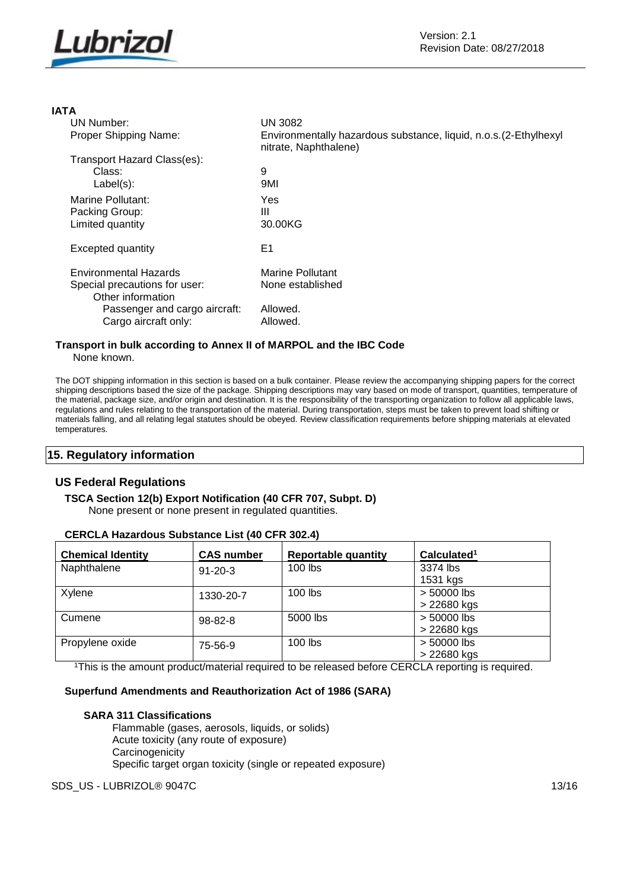

# **IATA**

| <b>UN 3082</b>                                                                             |
|--------------------------------------------------------------------------------------------|
| Environmentally hazardous substance, liquid, n.o.s. (2-Ethylhexyl<br>nitrate, Naphthalene) |
|                                                                                            |
| 9                                                                                          |
| 9MI                                                                                        |
| Yes                                                                                        |
| Ш                                                                                          |
| 30.00KG                                                                                    |
| E1                                                                                         |
| Marine Pollutant                                                                           |
| None established                                                                           |
| Allowed.                                                                                   |
| Allowed.                                                                                   |
|                                                                                            |

#### **Transport in bulk according to Annex II of MARPOL and the IBC Code** None known.

The DOT shipping information in this section is based on a bulk container. Please review the accompanying shipping papers for the correct shipping descriptions based the size of the package. Shipping descriptions may vary based on mode of transport, quantities, temperature of the material, package size, and/or origin and destination. It is the responsibility of the transporting organization to follow all applicable laws, regulations and rules relating to the transportation of the material. During transportation, steps must be taken to prevent load shifting or materials falling, and all relating legal statutes should be obeyed. Review classification requirements before shipping materials at elevated temperatures.

# **15. Regulatory information**

# **US Federal Regulations**

# **TSCA Section 12(b) Export Notification (40 CFR 707, Subpt. D)**

None present or none present in regulated quantities.

| <b>Chemical Identity</b> | <b>CAS number</b> | <b>Reportable quantity</b> | Calculated <sup>1</sup> |
|--------------------------|-------------------|----------------------------|-------------------------|
| Naphthalene              | $91 - 20 - 3$     | 100 lbs                    | 3374 lbs                |
|                          |                   |                            | 1531 kgs                |
| Xylene                   | 1330-20-7         | $100$ lbs                  | > 50000 lbs             |
|                          |                   |                            | > 22680 kgs             |
| Cumene                   | $98 - 82 - 8$     | 5000 lbs                   | > 50000 lbs             |
|                          |                   |                            | > 22680 kgs             |
| Propylene oxide          | 75-56-9           | $100$ lbs                  | > 50000 lbs             |
|                          |                   |                            | > 22680 kgs             |

# **CERCLA Hazardous Substance List (40 CFR 302.4)**

<sup>1</sup>This is the amount product/material required to be released before CERCLA reporting is required.

## **Superfund Amendments and Reauthorization Act of 1986 (SARA)**

#### **SARA 311 Classifications**

Flammable (gases, aerosols, liquids, or solids) Acute toxicity (any route of exposure) **Carcinogenicity** Specific target organ toxicity (single or repeated exposure)

SDS\_US - LUBRIZOL® 9047C 13/16 13/16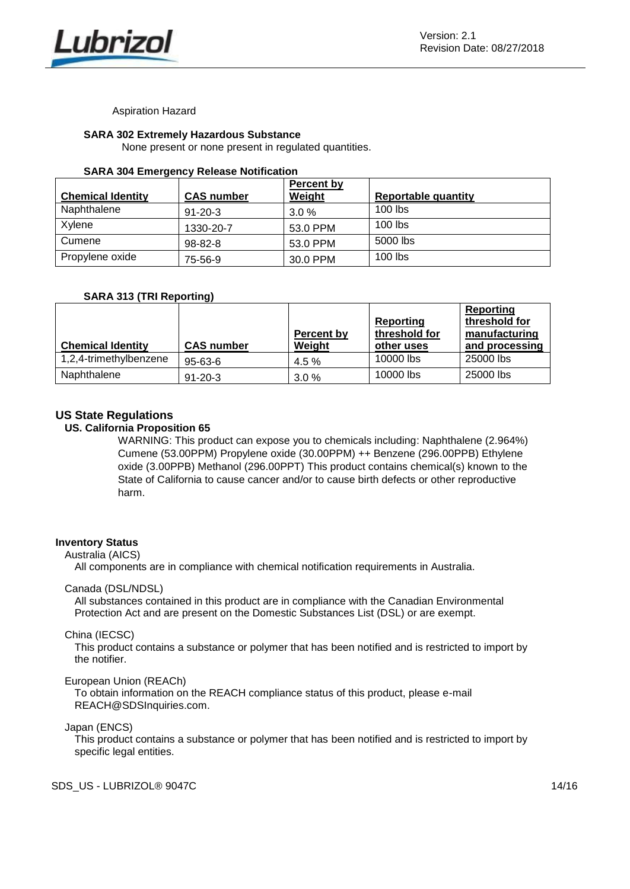

Aspiration Hazard

# **SARA 302 Extremely Hazardous Substance**

None present or none present in regulated quantities.

#### **SARA 304 Emergency Release Notification**

| <b>Chemical Identity</b> | <b>CAS number</b> | Percent by<br>Weight | <b>Reportable quantity</b> |
|--------------------------|-------------------|----------------------|----------------------------|
| Naphthalene              | $91 - 20 - 3$     | $3.0\%$              | $100$ lbs                  |
| Xylene                   | 1330-20-7         | 53.0 PPM             | $100$ lbs                  |
| Cumene                   | 98-82-8           | 53.0 PPM             | 5000 lbs                   |
| Propylene oxide          | 75-56-9           | 30.0 PPM             | $100$ lbs                  |

# **SARA 313 (TRI Reporting)**

|                          |                   |            |               | Reporting      |
|--------------------------|-------------------|------------|---------------|----------------|
|                          |                   |            | Reporting     | threshold for  |
|                          |                   | Percent by | threshold for | manufacturing  |
| <b>Chemical Identity</b> | <b>CAS number</b> | Weight     | other uses    | and processing |
| 1,2,4-trimethylbenzene   | $95 - 63 - 6$     | $4.5\%$    | 10000 lbs     | 25000 lbs      |
| Naphthalene              | $91 - 20 - 3$     | 3.0%       | 10000 lbs     | 25000 lbs      |

# **US State Regulations**

# **US. California Proposition 65**

WARNING: This product can expose you to chemicals including: Naphthalene (2.964%) Cumene (53.00PPM) Propylene oxide (30.00PPM) ++ Benzene (296.00PPB) Ethylene oxide (3.00PPB) Methanol (296.00PPT) This product contains chemical(s) known to the State of California to cause cancer and/or to cause birth defects or other reproductive harm.

#### **Inventory Status**

Australia (AICS)

All components are in compliance with chemical notification requirements in Australia.

#### Canada (DSL/NDSL)

All substances contained in this product are in compliance with the Canadian Environmental Protection Act and are present on the Domestic Substances List (DSL) or are exempt.

#### China (IECSC)

This product contains a substance or polymer that has been notified and is restricted to import by the notifier.

#### European Union (REACh)

To obtain information on the REACH compliance status of this product, please e-mail REACH@SDSInquiries.com.

### Japan (ENCS)

This product contains a substance or polymer that has been notified and is restricted to import by specific legal entities.

SDS US - LUBRIZOL® 9047C 14/16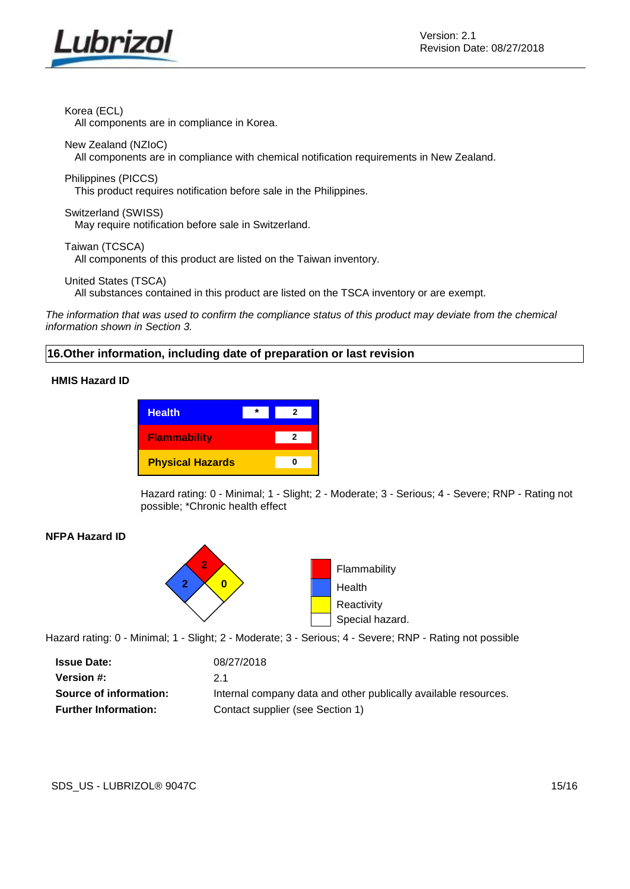

Korea (ECL)

All components are in compliance in Korea.

New Zealand (NZIoC) All components are in compliance with chemical notification requirements in New Zealand.

Philippines (PICCS)

This product requires notification before sale in the Philippines.

Switzerland (SWISS) May require notification before sale in Switzerland.

Taiwan (TCSCA) All components of this product are listed on the Taiwan inventory.

United States (TSCA)

All substances contained in this product are listed on the TSCA inventory or are exempt.

*The information that was used to confirm the compliance status of this product may deviate from the chemical information shown in Section 3.*

# **16.Other information, including date of preparation or last revision**

# **HMIS Hazard ID**

| <b>Health</b>           |  |  |
|-------------------------|--|--|
| <b>Flammability</b>     |  |  |
| <b>Physical Hazards</b> |  |  |

Hazard rating: 0 - Minimal; 1 - Slight; 2 - Moderate; 3 - Serious; 4 - Severe; RNP - Rating not possible; \*Chronic health effect

# **NFPA Hazard ID**



Hazard rating: 0 - Minimal; 1 - Slight; 2 - Moderate; 3 - Serious; 4 - Severe; RNP - Rating not possible

| <b>Issue Date:</b>          | 08/27/2018                                                      |
|-----------------------------|-----------------------------------------------------------------|
| Version #:                  | 2.1                                                             |
| Source of information:      | Internal company data and other publically available resources. |
| <b>Further Information:</b> | Contact supplier (see Section 1)                                |